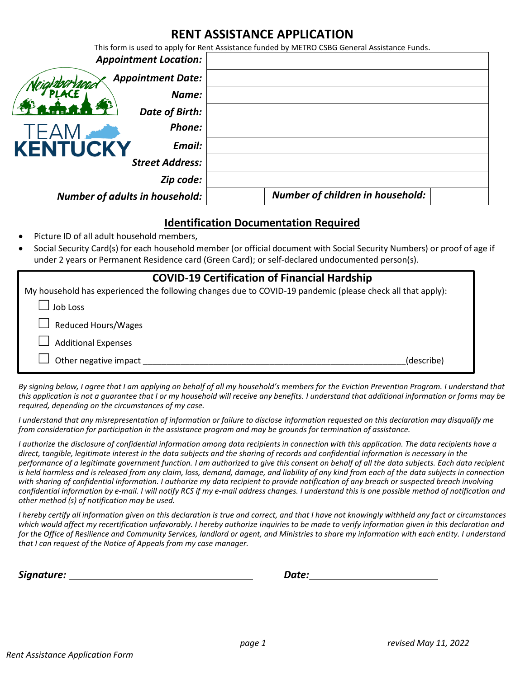## **RENT ASSISTANCE APPLICATION**

This form is used to apply for Rent Assistance funded by METRO CSBG General Assistance Funds.

|                                       | <b>Appointment Location:</b> |                                  |  |
|---------------------------------------|------------------------------|----------------------------------|--|
|                                       | <b>Appointment Date:</b>     |                                  |  |
|                                       | Name:                        |                                  |  |
|                                       | Date of Birth:               |                                  |  |
|                                       | Phone:                       |                                  |  |
| <b>KENTUCKY</b>                       | Email:                       |                                  |  |
|                                       | <b>Street Address:</b>       |                                  |  |
|                                       | Zip code:                    |                                  |  |
| <b>Number of adults in household:</b> |                              | Number of children in household: |  |

## **Identification Documentation Required**

- Picture ID of all adult household members,
- Social Security Card(s) for each household member (or official document with Social Security Numbers) or proof of age if under 2 years or Permanent Residence card (Green Card); or self-declared undocumented person(s).

| <b>COVID-19 Certification of Financial Hardship</b>                                                        |            |  |  |  |
|------------------------------------------------------------------------------------------------------------|------------|--|--|--|
| My household has experienced the following changes due to COVID-19 pandemic (please check all that apply): |            |  |  |  |
| Job Loss                                                                                                   |            |  |  |  |
| <b>Reduced Hours/Wages</b>                                                                                 |            |  |  |  |
| <b>Additional Expenses</b>                                                                                 |            |  |  |  |
| Other negative impact                                                                                      | (describe) |  |  |  |

By signing below, I agree that I am applying on behalf of all my household's members for the Eviction Prevention Program. I understand that *this application is not a guarantee that I or my household will receive any benefits. I understand that additional information or forms may be required, depending on the circumstances of my case.*

*I understand that any misrepresentation of information or failure to disclose information requested on this declaration may disqualify me from consideration for participation in the assistance program and may be grounds for termination of assistance.*

*I authorize the disclosure of confidential information among data recipients in connection with this application. The data recipients have a direct, tangible, legitimate interest in the data subjects and the sharing of records and confidential information is necessary in the performance of a legitimate government function. I am authorized to give this consent on behalf of all the data subjects. Each data recipient*  is held harmless and is released from any claim, loss, demand, damage, and liability of any kind from each of the data subjects in connection *with sharing of confidential information. I authorize my data recipient to provide notification of any breach or suspected breach involving confidential information by e-mail. I will notify RCS if my e-mail address changes. I understand this is one possible method of notification and other method (s) of notification may be used.*

*I hereby certify all information given on this declaration is true and correct, and that I have not knowingly withheld any fact or circumstances which would affect my recertification unfavorably. I hereby authorize inquiries to be made to verify information given in this declaration and for the Office of Resilience and Community Services, landlord or agent, and Ministries to share my information with each entity. I understand that I can request of the Notice of Appeals from my case manager.*

*Signature: Date:*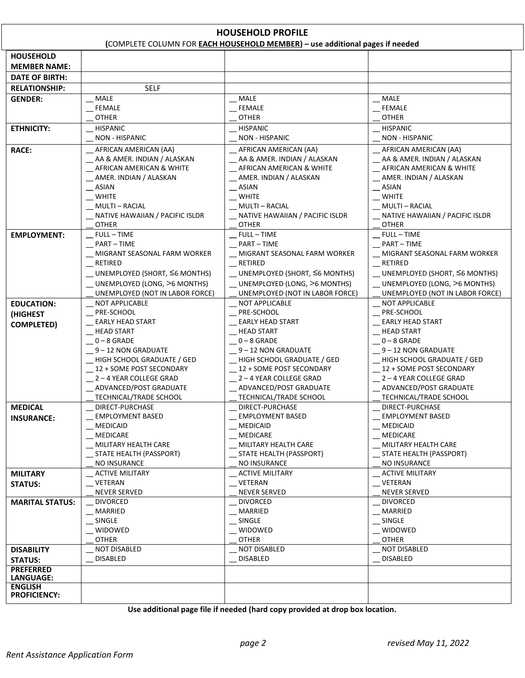| <b>HOUSEHOLD PROFILE</b><br>(COMPLETE COLUMN FOR EACH HOUSEHOLD MEMBER) - use additional pages if needed |                                                  |                                                  |                                                 |  |  |  |
|----------------------------------------------------------------------------------------------------------|--------------------------------------------------|--------------------------------------------------|-------------------------------------------------|--|--|--|
| <b>HOUSEHOLD</b>                                                                                         |                                                  |                                                  |                                                 |  |  |  |
|                                                                                                          |                                                  |                                                  |                                                 |  |  |  |
| <b>MEMBER NAME:</b>                                                                                      |                                                  |                                                  |                                                 |  |  |  |
| <b>DATE OF BIRTH:</b>                                                                                    |                                                  |                                                  |                                                 |  |  |  |
| <b>RELATIONSHIP:</b>                                                                                     | <b>SELF</b>                                      |                                                  |                                                 |  |  |  |
| <b>GENDER:</b>                                                                                           | <b>MALE</b>                                      | <b>MALE</b>                                      | MALE                                            |  |  |  |
|                                                                                                          | <b>FEMALE</b>                                    | FEMALE                                           | <b>FEMALE</b>                                   |  |  |  |
|                                                                                                          | <b>OTHER</b>                                     | <b>OTHER</b>                                     | <b>OTHER</b>                                    |  |  |  |
| <b>ETHNICITY:</b>                                                                                        | <b>HISPANIC</b>                                  | <b>HISPANIC</b>                                  | <b>HISPANIC</b>                                 |  |  |  |
|                                                                                                          | <b>NON - HISPANIC</b>                            | <b>NON - HISPANIC</b>                            | <b>NON - HISPANIC</b>                           |  |  |  |
| <b>RACE:</b>                                                                                             | AFRICAN AMERICAN (AA)                            | AFRICAN AMERICAN (AA)                            | AFRICAN AMERICAN (AA)                           |  |  |  |
|                                                                                                          | __ AA & AMER. INDIAN / ALASKAN                   | AA & AMER. INDIAN / ALASKAN                      | AA & AMER. INDIAN / ALASKAN                     |  |  |  |
|                                                                                                          | _ AFRICAN AMERICAN & WHITE                       | _ AFRICAN AMERICAN & WHITE                       | _ AFRICAN AMERICAN & WHITE                      |  |  |  |
|                                                                                                          | __ AMER. INDIAN / ALASKAN                        | _ AMER. INDIAN / ALASKAN                         | __ AMER. INDIAN / ALASKAN                       |  |  |  |
|                                                                                                          | $-$ ASIAN                                        | $-$ ASIAN                                        | $-$ ASIAN                                       |  |  |  |
|                                                                                                          | $-$ WHITE                                        | $-$ WHITE                                        | $-$ WHITE                                       |  |  |  |
|                                                                                                          | _MULTI-RACIAL                                    | MULTI – RACIAL                                   | <b>MULTI - RACIAL</b>                           |  |  |  |
|                                                                                                          | NATIVE HAWAIIAN / PACIFIC ISLDR                  | NATIVE HAWAIIAN / PACIFIC ISLDR                  | NATIVE HAWAIIAN / PACIFIC ISLDR                 |  |  |  |
|                                                                                                          | <b>OTHER</b>                                     | <b>OTHER</b>                                     | <b>OTHER</b>                                    |  |  |  |
| <b>EMPLOYMENT:</b>                                                                                       | <b>FULL-TIME</b>                                 | FULL – TIME                                      | $_F$ FULL-TIME                                  |  |  |  |
|                                                                                                          | <b>PART-TIME</b><br>MIGRANT SEASONAL FARM WORKER | <b>PART-TIME</b><br>MIGRANT SEASONAL FARM WORKER | $-$ PART - TIME<br>MIGRANT SEASONAL FARM WORKER |  |  |  |
|                                                                                                          | RETIRED                                          | RETIRED                                          | RETIRED                                         |  |  |  |
|                                                                                                          |                                                  |                                                  |                                                 |  |  |  |
|                                                                                                          | $\_$ UNEMPLOYED (SHORT, $\leq$ 6 MONTHS)         | $\_$ UNEMPLOYED (SHORT, $\leq$ 6 MONTHS)         | $\_$ UNEMPLOYED (SHORT, $\leq$ 6 MONTHS)        |  |  |  |
|                                                                                                          | UNEMPLOYED (LONG, >6 MONTHS)                     | UNEMPLOYED (LONG, >6 MONTHS)                     | UNEMPLOYED (LONG, >6 MONTHS)                    |  |  |  |
|                                                                                                          | UNEMPLOYED (NOT IN LABOR FORCE)                  | UNEMPLOYED (NOT IN LABOR FORCE)                  | UNEMPLOYED (NOT IN LABOR FORCE)                 |  |  |  |
| <b>EDUCATION:</b>                                                                                        | <b>NOT APPLICABLE</b>                            | <b>NOT APPLICABLE</b>                            | <b>NOT APPLICABLE</b>                           |  |  |  |
| (HIGHEST                                                                                                 | PRE-SCHOOL<br><b>EARLY HEAD START</b>            | PRE-SCHOOL<br><b>EARLY HEAD START</b>            | PRE-SCHOOL<br><b>EARLY HEAD START</b>           |  |  |  |
| <b>COMPLETED)</b>                                                                                        | <b>HEAD START</b>                                | <b>HEAD START</b>                                | <b>HEAD START</b>                               |  |  |  |
|                                                                                                          | $0 - 8$ GRADE                                    | $0 - 8$ GRADE                                    | $0 - 8$ GRADE                                   |  |  |  |
|                                                                                                          | 9 – 12 NON GRADUATE                              | 9-12 NON GRADUATE                                | 9-12 NON GRADUATE                               |  |  |  |
|                                                                                                          | HIGH SCHOOL GRADUATE / GED                       | HIGH SCHOOL GRADUATE / GED                       | HIGH SCHOOL GRADUATE / GED                      |  |  |  |
|                                                                                                          | 12 + SOME POST SECONDARY                         | 12 + SOME POST SECONDARY                         | 12 + SOME POST SECONDARY                        |  |  |  |
|                                                                                                          | _2-4 YEAR COLLEGE GRAD                           | $-2 - 4$ YEAR COLLEGE GRAD                       | 2-4 YEAR COLLEGE GRAD                           |  |  |  |
|                                                                                                          | ADVANCED/POST GRADUATE                           | ADVANCED/POST GRADUATE                           | ADVANCED/POST GRADUATE                          |  |  |  |
|                                                                                                          | TECHNICAL/TRADE SCHOOL                           | TECHNICAL/TRADE SCHOOL                           | TECHNICAL/TRADE SCHOOL                          |  |  |  |
| <b>MEDICAL</b>                                                                                           | DIRECT-PURCHASE                                  | DIRECT-PURCHASE                                  | DIRECT-PURCHASE                                 |  |  |  |
| <b>INSURANCE:</b>                                                                                        | <b>EMPLOYMENT BASED</b>                          | <b>EMPLOYMENT BASED</b>                          | <b>EMPLOYMENT BASED</b>                         |  |  |  |
|                                                                                                          | <b>MEDICAID</b>                                  | MEDICAID                                         | MEDICAID                                        |  |  |  |
|                                                                                                          | MEDICARE                                         | MEDICARE                                         | MEDICARE                                        |  |  |  |
|                                                                                                          | MILITARY HEALTH CARE                             | MILITARY HEALTH CARE                             | MILITARY HEALTH CARE                            |  |  |  |
|                                                                                                          | STATE HEALTH (PASSPORT)                          | STATE HEALTH (PASSPORT)                          | STATE HEALTH (PASSPORT)                         |  |  |  |
|                                                                                                          | NO INSURANCE                                     | NO INSURANCE                                     | NO INSURANCE                                    |  |  |  |
| <b>MILITARY</b>                                                                                          | <b>ACTIVE MILITARY</b>                           | <b>ACTIVE MILITARY</b>                           | <b>ACTIVE MILITARY</b>                          |  |  |  |
| <b>STATUS:</b>                                                                                           | VETERAN                                          | VETERAN                                          | __ VETERAN                                      |  |  |  |
|                                                                                                          | <b>NEVER SERVED</b>                              | <b>NEVER SERVED</b>                              | <b>NEVER SERVED</b>                             |  |  |  |
| <b>MARITAL STATUS:</b>                                                                                   | <b>DIVORCED</b>                                  | <b>DIVORCED</b>                                  | <b>DIVORCED</b>                                 |  |  |  |
|                                                                                                          | MARRIED                                          | MARRIED                                          | MARRIED                                         |  |  |  |
|                                                                                                          | SINGLE                                           | SINGLE                                           | SINGLE                                          |  |  |  |
|                                                                                                          | WIDOWED                                          | WIDOWED                                          | WIDOWED                                         |  |  |  |
|                                                                                                          | <b>OTHER</b>                                     | <b>OTHER</b>                                     | <b>OTHER</b>                                    |  |  |  |
| <b>DISABILITY</b>                                                                                        | <b>NOT DISABLED</b>                              | NOT DISABLED                                     | <b>NOT DISABLED</b>                             |  |  |  |
| <b>STATUS:</b>                                                                                           | <b>DISABLED</b>                                  | <b>DISABLED</b>                                  | <b>DISABLED</b>                                 |  |  |  |
| <b>PREFERRED</b><br>LANGUAGE:                                                                            |                                                  |                                                  |                                                 |  |  |  |
| <b>ENGLISH</b>                                                                                           |                                                  |                                                  |                                                 |  |  |  |
| <b>PROFICIENCY:</b>                                                                                      |                                                  |                                                  |                                                 |  |  |  |

**Use additional page file if needed (hard copy provided at drop box location.**